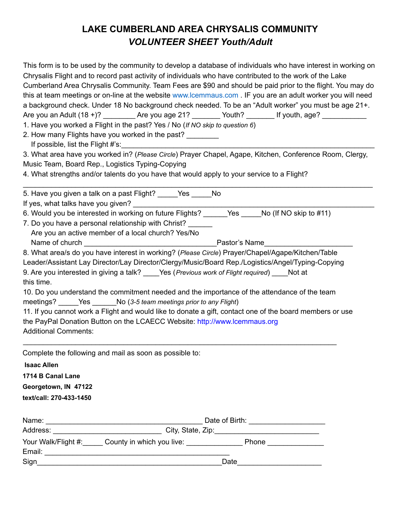## **LAKE CUMBERLAND AREA CHRYSALIS COMMUNITY** *VOLUNTEER SHEET Youth/Adult*

|                                                       |                                                                                       | This form is to be used by the community to develop a database of individuals who have interest in working on<br>Chrysalis Flight and to record past activity of individuals who have contributed to the work of the Lake<br>Cumberland Area Chrysalis Community. Team Fees are \$90 and should be paid prior to the flight. You may do<br>this at team meetings or on-line at the website www.lcemmaus.com . IF you are an adult worker you will need<br>a background check. Under 18 No background check needed. To be an "Adult worker" you must be age 21+.<br>Are you an Adult (18 +)? ________Are you age 21? _______Youth? ________ If youth, age? ___________ |  |  |  |
|-------------------------------------------------------|---------------------------------------------------------------------------------------|-----------------------------------------------------------------------------------------------------------------------------------------------------------------------------------------------------------------------------------------------------------------------------------------------------------------------------------------------------------------------------------------------------------------------------------------------------------------------------------------------------------------------------------------------------------------------------------------------------------------------------------------------------------------------|--|--|--|
|                                                       | 1. Have you worked a Flight in the past? Yes / No (If NO skip to question 6)          |                                                                                                                                                                                                                                                                                                                                                                                                                                                                                                                                                                                                                                                                       |  |  |  |
|                                                       | 2. How many Flights have you worked in the past?<br>If possible, list the Flight #'s: |                                                                                                                                                                                                                                                                                                                                                                                                                                                                                                                                                                                                                                                                       |  |  |  |
|                                                       |                                                                                       | 3. What area have you worked in? (Please Circle) Prayer Chapel, Agape, Kitchen, Conference Room, Clergy,                                                                                                                                                                                                                                                                                                                                                                                                                                                                                                                                                              |  |  |  |
| Music Team, Board Rep., Logistics Typing-Copying      |                                                                                       |                                                                                                                                                                                                                                                                                                                                                                                                                                                                                                                                                                                                                                                                       |  |  |  |
|                                                       |                                                                                       | 4. What strengths and/or talents do you have that would apply to your service to a Flight?                                                                                                                                                                                                                                                                                                                                                                                                                                                                                                                                                                            |  |  |  |
|                                                       |                                                                                       |                                                                                                                                                                                                                                                                                                                                                                                                                                                                                                                                                                                                                                                                       |  |  |  |
|                                                       | 5. Have you given a talk on a past Flight? _____Yes _____No                           |                                                                                                                                                                                                                                                                                                                                                                                                                                                                                                                                                                                                                                                                       |  |  |  |
| If yes, what talks have you given? __________________ |                                                                                       |                                                                                                                                                                                                                                                                                                                                                                                                                                                                                                                                                                                                                                                                       |  |  |  |
|                                                       |                                                                                       | 6. Would you be interested in working on future Flights? ______Yes _____No (If NO skip to #11)                                                                                                                                                                                                                                                                                                                                                                                                                                                                                                                                                                        |  |  |  |
|                                                       | 7. Do you have a personal relationship with Christ?                                   |                                                                                                                                                                                                                                                                                                                                                                                                                                                                                                                                                                                                                                                                       |  |  |  |
|                                                       | Are you an active member of a local church? Yes/No                                    |                                                                                                                                                                                                                                                                                                                                                                                                                                                                                                                                                                                                                                                                       |  |  |  |
|                                                       |                                                                                       |                                                                                                                                                                                                                                                                                                                                                                                                                                                                                                                                                                                                                                                                       |  |  |  |
|                                                       |                                                                                       | 8. What area/s do you have interest in working? (Please Circle) Prayer/Chapel/Agape/Kitchen/Table                                                                                                                                                                                                                                                                                                                                                                                                                                                                                                                                                                     |  |  |  |
|                                                       |                                                                                       | Leader/Assistant Lay Director/Lay Director/Clergy/Music/Board Rep./Logistics/Angel/Typing-Copying                                                                                                                                                                                                                                                                                                                                                                                                                                                                                                                                                                     |  |  |  |
|                                                       |                                                                                       | 9. Are you interested in giving a talk? ____Yes (Previous work of Flight required) ____Not at                                                                                                                                                                                                                                                                                                                                                                                                                                                                                                                                                                         |  |  |  |
| this time.                                            |                                                                                       |                                                                                                                                                                                                                                                                                                                                                                                                                                                                                                                                                                                                                                                                       |  |  |  |
|                                                       |                                                                                       | 10. Do you understand the commitment needed and the importance of the attendance of the team                                                                                                                                                                                                                                                                                                                                                                                                                                                                                                                                                                          |  |  |  |
|                                                       | meetings? Yes No (3-5 team meetings prior to any Flight)                              |                                                                                                                                                                                                                                                                                                                                                                                                                                                                                                                                                                                                                                                                       |  |  |  |
|                                                       |                                                                                       | 11. If you cannot work a Flight and would like to donate a gift, contact one of the board members or use                                                                                                                                                                                                                                                                                                                                                                                                                                                                                                                                                              |  |  |  |
|                                                       | the PayPal Donation Button on the LCAECC Website: http://www.lcemmaus.org             |                                                                                                                                                                                                                                                                                                                                                                                                                                                                                                                                                                                                                                                                       |  |  |  |
| <b>Additional Comments:</b>                           |                                                                                       |                                                                                                                                                                                                                                                                                                                                                                                                                                                                                                                                                                                                                                                                       |  |  |  |
|                                                       | Complete the following and mail as soon as possible to:                               |                                                                                                                                                                                                                                                                                                                                                                                                                                                                                                                                                                                                                                                                       |  |  |  |
| <b>Isaac Allen</b>                                    |                                                                                       |                                                                                                                                                                                                                                                                                                                                                                                                                                                                                                                                                                                                                                                                       |  |  |  |
| 1714 B Canal Lane                                     |                                                                                       |                                                                                                                                                                                                                                                                                                                                                                                                                                                                                                                                                                                                                                                                       |  |  |  |
| Georgetown, IN 47122                                  |                                                                                       |                                                                                                                                                                                                                                                                                                                                                                                                                                                                                                                                                                                                                                                                       |  |  |  |
| text/call: 270-433-1450                               |                                                                                       |                                                                                                                                                                                                                                                                                                                                                                                                                                                                                                                                                                                                                                                                       |  |  |  |
|                                                       |                                                                                       |                                                                                                                                                                                                                                                                                                                                                                                                                                                                                                                                                                                                                                                                       |  |  |  |
|                                                       |                                                                                       |                                                                                                                                                                                                                                                                                                                                                                                                                                                                                                                                                                                                                                                                       |  |  |  |
|                                                       |                                                                                       |                                                                                                                                                                                                                                                                                                                                                                                                                                                                                                                                                                                                                                                                       |  |  |  |
|                                                       |                                                                                       | Your Walk/Flight #: County in which you live: National American Phone Netwitted Malk/Flight #:                                                                                                                                                                                                                                                                                                                                                                                                                                                                                                                                                                        |  |  |  |
|                                                       |                                                                                       |                                                                                                                                                                                                                                                                                                                                                                                                                                                                                                                                                                                                                                                                       |  |  |  |
|                                                       |                                                                                       |                                                                                                                                                                                                                                                                                                                                                                                                                                                                                                                                                                                                                                                                       |  |  |  |